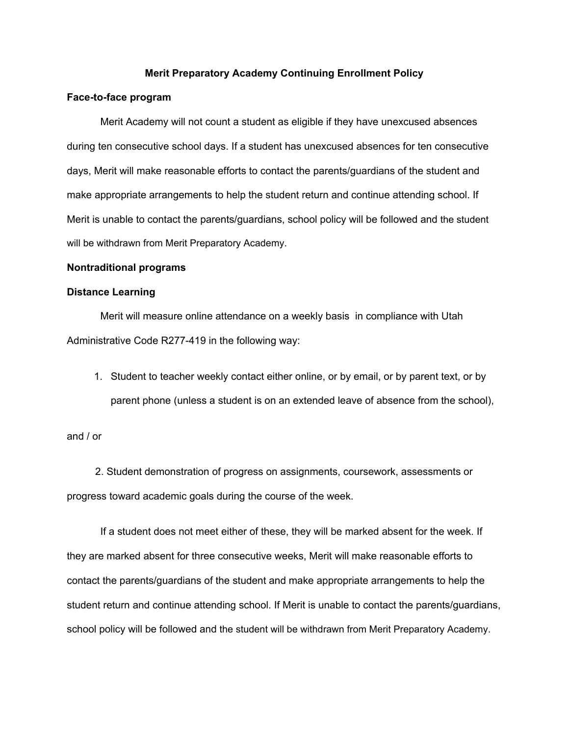### **Merit Preparatory Academy Continuing Enrollment Policy**

#### **Face-to-face program**

Merit Academy will not count a student as eligible if they have unexcused absences during ten consecutive school days. If a student has unexcused absences for ten consecutive days, Merit will make reasonable efforts to contact the parents/guardians of the student and make appropriate arrangements to help the student return and continue attending school. If Merit is unable to contact the parents/guardians, school policy will be followed and the student will be withdrawn from Merit Preparatory Academy.

#### **Nontraditional programs**

#### **Distance Learning**

Merit will measure online attendance on a weekly basis in compliance with Utah Administrative Code R277-419 in the following way:

1. Student to teacher weekly contact either online, or by email, or by parent text, or by parent phone (unless a student is on an extended leave of absence from the school),

## and / or

2. Student demonstration of progress on assignments, coursework, assessments or progress toward academic goals during the course of the week.

If a student does not meet either of these, they will be marked absent for the week. If they are marked absent for three consecutive weeks, Merit will make reasonable efforts to contact the parents/guardians of the student and make appropriate arrangements to help the student return and continue attending school. If Merit is unable to contact the parents/guardians, school policy will be followed and the student will be withdrawn from Merit Preparatory Academy.